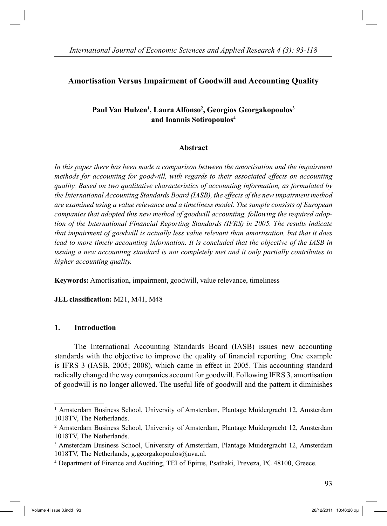# **Amortisation Versus Impairment of Goodwill and Accounting Quality**

# **Paul Van Hulzen1 , Laura Alfonso2 , Georgios Georgakopoulos3 and Ioannis Sotiropoulos4**

#### **Abstract**

In this paper there has been made a comparison between the amortisation and the impairment *methods for accounting for goodwill, with regards to their associated effects on accounting quality. Based on two qualitative characteristics of accounting information, as formulated by the International Accounting Standards Board (IASB), the effects of the new impairment method are examined using a value relevance and a timeliness model. The sample consists of European companies that adopted this new method of goodwill accounting, following the required adoption of the International Financial Reporting Standards (IFRS) in 2005. The results indicate that impairment of goodwill is actually less value relevant than amortisation, but that it does lead to more timely accounting information. It is concluded that the objective of the IASB in issuing a new accounting standard is not completely met and it only partially contributes to higher accounting quality.*

**Keywords:** Amortisation, impairment, goodwill, value relevance, timeliness

**JEL classification:** M21, M41, M48

#### **1. Introduction**

 The International Accounting Standards Board (IASB) issues new accounting standards with the objective to improve the quality of financial reporting. One example is IFRS 3 (IASB, 2005; 2008), which came in effect in 2005. This accounting standard radically changed the way companies account for goodwill. Following IFRS 3, amortisation of goodwill is no longer allowed. The useful life of goodwill and the pattern it diminishes

<sup>1</sup> Amsterdam Business School, University of Amsterdam, Plantage Muidergracht 12, Amsterdam 1018TV, The Netherlands.

<sup>2</sup> Amsterdam Business School, University of Amsterdam, Plantage Muidergracht 12, Amsterdam 1018TV, The Netherlands.

<sup>3</sup> Amsterdam Business School, University of Amsterdam, Plantage Muidergracht 12, Amsterdam 1018TV, The Netherlands, g.georgakopoulos@uva.nl.

<sup>4</sup> Department of Finance and Auditing, TEI of Epirus, Psathaki, Preveza, PC 48100, Greece.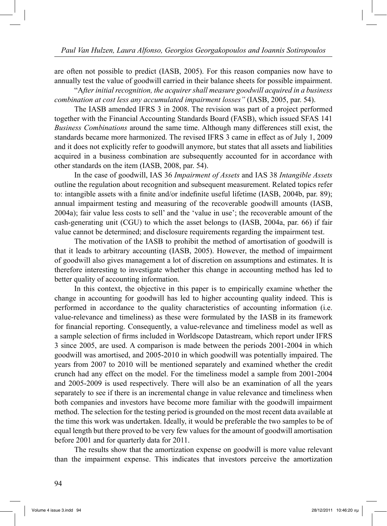are often not possible to predict (IASB, 2005). For this reason companies now have to annually test the value of goodwill carried in their balance sheets for possible impairment.

 "A*fter initial recognition, the acquirer shall measure goodwill acquired in a business combination at cost less any accumulated impairment losses"* (IASB, 2005, par. 54).

 The IASB amended IFRS 3 in 2008. The revision was part of a project performed together with the Financial Accounting Standards Board (FASB), which issued SFAS 141 *Business Combinations* around the same time. Although many differences still exist, the standards became more harmonized. The revised IFRS 3 came in effect as of July 1, 2009 and it does not explicitly refer to goodwill anymore, but states that all assets and liabilities acquired in a business combination are subsequently accounted for in accordance with other standards on the item (IASB, 2008, par. 54).

 In the case of goodwill, IAS 36 *Impairment of Assets* and IAS 38 *Intangible Assets*  outline the regulation about recognition and subsequent measurement. Related topics refer to: intangible assets with a finite and/or indefinite useful lifetime (IASB, 2004b, par. 89); annual impairment testing and measuring of the recoverable goodwill amounts (IASB, 2004a); fair value less costs to sell' and the 'value in use'; the recoverable amount of the cash-generating unit (CGU) to which the asset belongs to (IASB, 2004a, par. 66) if fair value cannot be determined; and disclosure requirements regarding the impairment test.

 The motivation of the IASB to prohibit the method of amortisation of goodwill is that it leads to arbitrary accounting (IASB, 2005). However, the method of impairment of goodwill also gives management a lot of discretion on assumptions and estimates. It is therefore interesting to investigate whether this change in accounting method has led to better quality of accounting information.

 In this context, the objective in this paper is to empirically examine whether the change in accounting for goodwill has led to higher accounting quality indeed. This is performed in accordance to the quality characteristics of accounting information (i.e. value-relevance and timeliness) as these were formulated by the IASB in its framework for financial reporting. Consequently, a value-relevance and timeliness model as well as a sample selection of firms included in Worldscope Datastream, which report under IFRS 3 since 2005, are used. A comparison is made between the periods 2001-2004 in which goodwill was amortised, and 2005-2010 in which goodwill was potentially impaired. The years from 2007 to 2010 will be mentioned separately and examined whether the credit crunch had any effect on the model. For the timeliness model a sample from 2001-2004 and 2005-2009 is used respectively. There will also be an examination of all the years separately to see if there is an incremental change in value relevance and timeliness when both companies and investors have become more familiar with the goodwill impairment method. The selection for the testing period is grounded on the most recent data available at the time this work was undertaken. Ideally, it would be preferable the two samples to be of equal length but there proved to be very few values for the amount of goodwill amortisation before 2001 and for quarterly data for 2011.

 The results show that the amortization expense on goodwill is more value relevant than the impairment expense. This indicates that investors perceive the amortization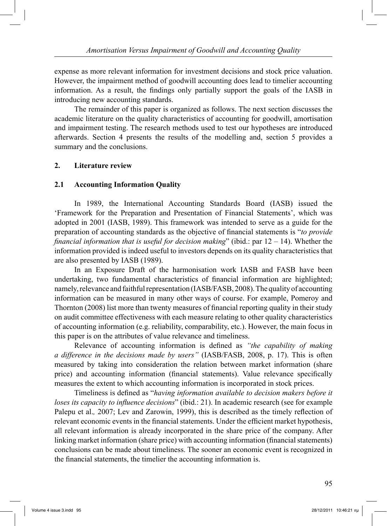expense as more relevant information for investment decisions and stock price valuation. However, the impairment method of goodwill accounting does lead to timelier accounting information. As a result, the findings only partially support the goals of the IASB in introducing new accounting standards.

 The remainder of this paper is organized as follows. The next section discusses the academic literature on the quality characteristics of accounting for goodwill, amortisation and impairment testing. The research methods used to test our hypotheses are introduced afterwards. Section 4 presents the results of the modelling and, section 5 provides a summary and the conclusions.

#### **2. Literature review**

#### **2.1 Accounting Information Quality**

 In 1989, the International Accounting Standards Board (IASB) issued the 'Framework for the Preparation and Presentation of Financial Statements', which was adopted in 2001 (IASB, 1989). This framework was intended to serve as a guide for the preparation of accounting standards as the objective of financial statements is "*to provide financial information that is useful for decision making*" (ibid.: par 12 – 14). Whether the information provided is indeed useful to investors depends on its quality characteristics that are also presented by IASB (1989).

 In an Exposure Draft of the harmonisation work IASB and FASB have been undertaking, two fundamental characteristics of financial information are highlighted; namely, relevance and faithful representation (IASB/FASB, 2008). The quality of accounting information can be measured in many other ways of course. For example, Pomeroy and Thornton (2008) list more than twenty measures of financial reporting quality in their study on audit committee effectiveness with each measure relating to other quality characteristics of accounting information (e.g. reliability, comparability, etc.). However, the main focus in this paper is on the attributes of value relevance and timeliness.

 Relevance of accounting information is defined as *"the capability of making a difference in the decisions made by users"* (IASB/FASB, 2008, p. 17). This is often measured by taking into consideration the relation between market information (share price) and accounting information (financial statements). Value relevance specifically measures the extent to which accounting information is incorporated in stock prices.

 Timeliness is defined as "*having information available to decision makers before it loses its capacity to influence decisions*" (ibid.: 21). In academic research (see for example Palepu et al., 2007; Lev and Zarowin, 1999), this is described as the timely reflection of relevant economic events in the financial statements. Under the efficient market hypothesis, all relevant information is already incorporated in the share price of the company. After linking market information (share price) with accounting information (financial statements) conclusions can be made about timeliness. The sooner an economic event is recognized in the financial statements, the timelier the accounting information is.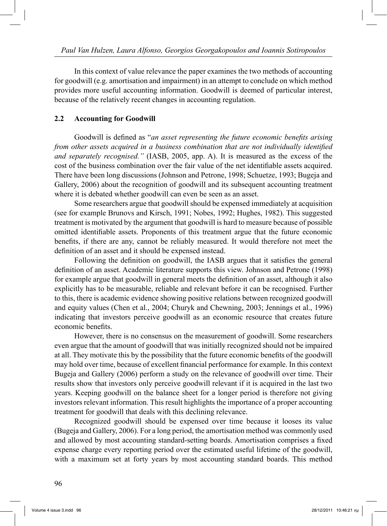In this context of value relevance the paper examines the two methods of accounting for goodwill (e.g. amortisation and impairment) in an attempt to conclude on which method provides more useful accounting information. Goodwill is deemed of particular interest, because of the relatively recent changes in accounting regulation.

### **2.2 Accounting for Goodwill**

 Goodwill is defined as "*an asset representing the future economic benefits arising from other assets acquired in a business combination that are not individually identified and separately recognised."* (IASB, 2005, app. A). It is measured as the excess of the cost of the business combination over the fair value of the net identifiable assets acquired. There have been long discussions (Johnson and Petrone, 1998; Schuetze, 1993; Bugeja and Gallery, 2006) about the recognition of goodwill and its subsequent accounting treatment where it is debated whether goodwill can even be seen as an asset.

 Some researchers argue that goodwill should be expensed immediately at acquisition (see for example Brunovs and Kirsch, 1991; Nobes, 1992; Hughes, 1982). This suggested treatment is motivated by the argument that goodwill is hard to measure because of possible omitted identifiable assets. Proponents of this treatment argue that the future economic benefits, if there are any, cannot be reliably measured. It would therefore not meet the definition of an asset and it should be expensed instead.

 Following the definition on goodwill, the IASB argues that it satisfies the general definition of an asset. Academic literature supports this view. Johnson and Petrone (1998) for example argue that goodwill in general meets the definition of an asset, although it also explicitly has to be measurable, reliable and relevant before it can be recognised. Further to this, there is academic evidence showing positive relations between recognized goodwill and equity values (Chen et al., 2004; Churyk and Chewning, 2003; Jennings et al., 1996) indicating that investors perceive goodwill as an economic resource that creates future economic benefits.

 However, there is no consensus on the measurement of goodwill. Some researchers even argue that the amount of goodwill that was initially recognized should not be impaired at all. They motivate this by the possibility that the future economic benefits of the goodwill may hold over time, because of excellent financial performance for example. In this context Bugeja and Gallery (2006) perform a study on the relevance of goodwill over time. Their results show that investors only perceive goodwill relevant if it is acquired in the last two years. Keeping goodwill on the balance sheet for a longer period is therefore not giving investors relevant information. This result highlights the importance of a proper accounting treatment for goodwill that deals with this declining relevance.

 Recognized goodwill should be expensed over time because it looses its value (Bugeja and Gallery, 2006). For a long period, the amortisation method was commonly used and allowed by most accounting standard-setting boards. Amortisation comprises a fixed expense charge every reporting period over the estimated useful lifetime of the goodwill, with a maximum set at forty years by most accounting standard boards. This method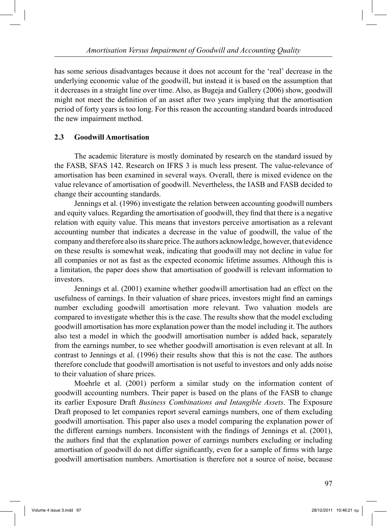has some serious disadvantages because it does not account for the 'real' decrease in the underlying economic value of the goodwill, but instead it is based on the assumption that it decreases in a straight line over time. Also, as Bugeja and Gallery (2006) show, goodwill might not meet the definition of an asset after two years implying that the amortisation period of forty years is too long. For this reason the accounting standard boards introduced the new impairment method.

# **2.3 Goodwill Amortisation**

 The academic literature is mostly dominated by research on the standard issued by the FASB, SFAS 142. Research on IFRS 3 is much less present. The value-relevance of amortisation has been examined in several ways. Overall, there is mixed evidence on the value relevance of amortisation of goodwill. Nevertheless, the IASB and FASB decided to change their accounting standards.

 Jennings et al. (1996) investigate the relation between accounting goodwill numbers and equity values. Regarding the amortisation of goodwill, they find that there is a negative relation with equity value. This means that investors perceive amortisation as a relevant accounting number that indicates a decrease in the value of goodwill, the value of the company and therefore also its share price. The authors acknowledge, however, that evidence on these results is somewhat weak, indicating that goodwill may not decline in value for all companies or not as fast as the expected economic lifetime assumes. Although this is a limitation, the paper does show that amortisation of goodwill is relevant information to investors.

 Jennings et al. (2001) examine whether goodwill amortisation had an effect on the usefulness of earnings. In their valuation of share prices, investors might find an earnings number excluding goodwill amortisation more relevant. Two valuation models are compared to investigate whether this is the case. The results show that the model excluding goodwill amortisation has more explanation power than the model including it. The authors also test a model in which the goodwill amortisation number is added back, separately from the earnings number, to see whether goodwill amortisation is even relevant at all. In contrast to Jennings et al. (1996) their results show that this is not the case. The authors therefore conclude that goodwill amortisation is not useful to investors and only adds noise to their valuation of share prices.

 Moehrle et al. (2001) perform a similar study on the information content of goodwill accounting numbers. Their paper is based on the plans of the FASB to change its earlier Exposure Draft *Business Combinations and Intangible Assets*. The Exposure Draft proposed to let companies report several earnings numbers, one of them excluding goodwill amortisation. This paper also uses a model comparing the explanation power of the different earnings numbers. Inconsistent with the findings of Jennings et al. (2001), the authors find that the explanation power of earnings numbers excluding or including amortisation of goodwill do not differ significantly, even for a sample of firms with large goodwill amortisation numbers. Amortisation is therefore not a source of noise, because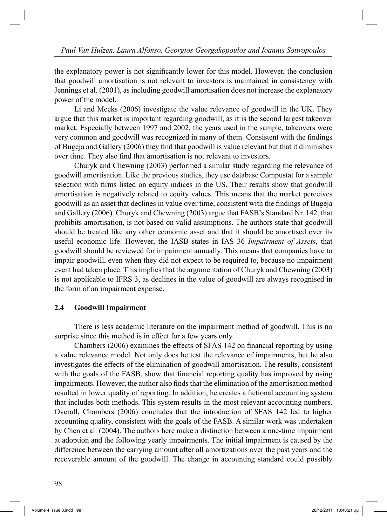the explanatory power is not significantly lower for this model. However, the conclusion that goodwill amortisation is not relevant to investors is maintained in consistency with Jennings et al. (2001), as including goodwill amortisation does not increase the explanatory power of the model.

 Li and Meeks (2006) investigate the value relevance of goodwill in the UK. They argue that this market is important regarding goodwill, as it is the second largest takeover market. Especially between 1997 and 2002, the years used in the sample, takeovers were very common and goodwill was recognized in many of them. Consistent with the findings of Bugeja and Gallery (2006) they find that goodwill is value relevant but that it diminishes over time. They also find that amortisation is not relevant to investors.

 Churyk and Chewning (2003) performed a similar study regarding the relevance of goodwill amortisation. Like the previous studies, they use database Compustat for a sample selection with firms listed on equity indices in the US. Their results show that goodwill amortisation is negatively related to equity values. This means that the market perceives goodwill as an asset that declines in value over time, consistent with the findings of Bugeja and Gallery (2006). Churyk and Chewning (2003) argue that FASB's Standard Nr. 142, that prohibits amortisation, is not based on valid assumptions. The authors state that goodwill should be treated like any other economic asset and that it should be amortised over its useful economic life. However, the IASB states in IAS 36 *Impairment of Assets*, that goodwill should be reviewed for impairment annually. This means that companies have to impair goodwill, even when they did not expect to be required to, because no impairment event had taken place. This implies that the argumentation of Churyk and Chewning (2003) is not applicable to IFRS 3, as declines in the value of goodwill are always recognised in the form of an impairment expense.

#### **2.4 Goodwill Impairment**

 There is less academic literature on the impairment method of goodwill. This is no surprise since this method is in effect for a few years only.

 Chambers (2006) examines the effects of SFAS 142 on financial reporting by using a value relevance model. Not only does he test the relevance of impairments, but he also investigates the effects of the elimination of goodwill amortisation. The results, consistent with the goals of the FASB, show that financial reporting quality has improved by using impairments. However, the author also finds that the elimination of the amortisation method resulted in lower quality of reporting. In addition, he creates a fictional accounting system that includes both methods. This system results in the most relevant accounting numbers. Overall, Chambers (2006) concludes that the introduction of SFAS 142 led to higher accounting quality, consistent with the goals of the FASB. A similar work was undertaken by Chen et al. (2004). The authors here make a distinction between a one-time impairment at adoption and the following yearly impairments. The initial impairment is caused by the difference between the carrying amount after all amortizations over the past years and the recoverable amount of the goodwill. The change in accounting standard could possibly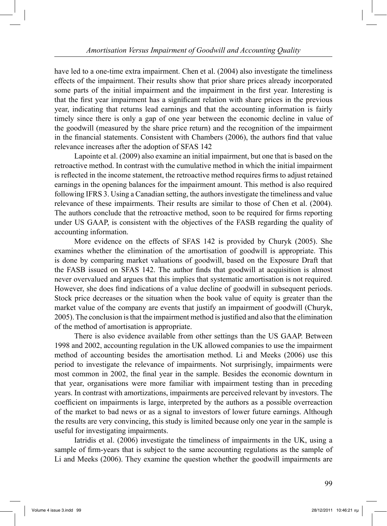have led to a one-time extra impairment. Chen et al. (2004) also investigate the timeliness effects of the impairment. Their results show that prior share prices already incorporated some parts of the initial impairment and the impairment in the first year. Interesting is that the first year impairment has a significant relation with share prices in the previous year, indicating that returns lead earnings and that the accounting information is fairly timely since there is only a gap of one year between the economic decline in value of the goodwill (measured by the share price return) and the recognition of the impairment in the financial statements. Consistent with Chambers (2006), the authors find that value relevance increases after the adoption of SFAS 142

 Lapointe et al. (2009) also examine an initial impairment, but one that is based on the retroactive method. In contrast with the cumulative method in which the initial impairment is reflected in the income statement, the retroactive method requires firms to adjust retained earnings in the opening balances for the impairment amount. This method is also required following IFRS 3. Using a Canadian setting, the authors investigate the timeliness and value relevance of these impairments. Their results are similar to those of Chen et al. (2004). The authors conclude that the retroactive method, soon to be required for firms reporting under US GAAP, is consistent with the objectives of the FASB regarding the quality of accounting information.

 More evidence on the effects of SFAS 142 is provided by Churyk (2005). She examines whether the elimination of the amortisation of goodwill is appropriate. This is done by comparing market valuations of goodwill, based on the Exposure Draft that the FASB issued on SFAS 142. The author finds that goodwill at acquisition is almost never overvalued and argues that this implies that systematic amortisation is not required. However, she does find indications of a value decline of goodwill in subsequent periods. Stock price decreases or the situation when the book value of equity is greater than the market value of the company are events that justify an impairment of goodwill (Churyk, 2005). The conclusion is that the impairment method is justified and also that the elimination of the method of amortisation is appropriate.

 There is also evidence available from other settings than the US GAAP. Between 1998 and 2002, accounting regulation in the UK allowed companies to use the impairment method of accounting besides the amortisation method. Li and Meeks (2006) use this period to investigate the relevance of impairments. Not surprisingly, impairments were most common in 2002, the final year in the sample. Besides the economic downturn in that year, organisations were more familiar with impairment testing than in preceding years. In contrast with amortizations, impairments are perceived relevant by investors. The coefficient on impairments is large, interpreted by the authors as a possible overreaction of the market to bad news or as a signal to investors of lower future earnings. Although the results are very convincing, this study is limited because only one year in the sample is useful for investigating impairments.

 Iatridis et al. (2006) investigate the timeliness of impairments in the UK, using a sample of firm-years that is subject to the same accounting regulations as the sample of Li and Meeks (2006). They examine the question whether the goodwill impairments are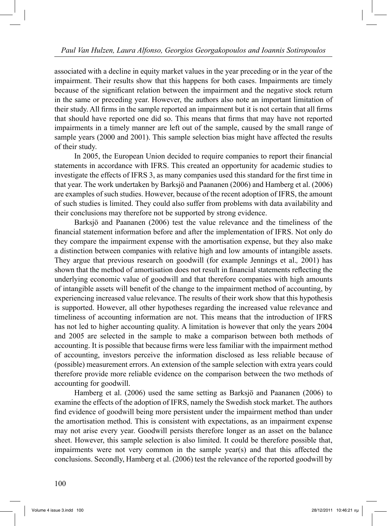associated with a decline in equity market values in the year preceding or in the year of the impairment. Their results show that this happens for both cases. Impairments are timely because of the significant relation between the impairment and the negative stock return in the same or preceding year. However, the authors also note an important limitation of their study. All firms in the sample reported an impairment but it is not certain that all firms that should have reported one did so. This means that firms that may have not reported impairments in a timely manner are left out of the sample, caused by the small range of sample years (2000 and 2001). This sample selection bias might have affected the results of their study.

 In 2005, the European Union decided to require companies to report their financial statements in accordance with IFRS. This created an opportunity for academic studies to investigate the effects of IFRS 3, as many companies used this standard for the first time in that year. The work undertaken by Barksjö and Paananen (2006) and Hamberg et al. (2006) are examples of such studies. However, because of the recent adoption of IFRS, the amount of such studies is limited. They could also suffer from problems with data availability and their conclusions may therefore not be supported by strong evidence.

 Barksjö and Paananen (2006) test the value relevance and the timeliness of the financial statement information before and after the implementation of IFRS. Not only do they compare the impairment expense with the amortisation expense, but they also make a distinction between companies with relative high and low amounts of intangible assets. They argue that previous research on goodwill (for example Jennings et al.*,* 2001) has shown that the method of amortisation does not result in financial statements reflecting the underlying economic value of goodwill and that therefore companies with high amounts of intangible assets will benefit of the change to the impairment method of accounting, by experiencing increased value relevance. The results of their work show that this hypothesis is supported. However, all other hypotheses regarding the increased value relevance and timeliness of accounting information are not. This means that the introduction of IFRS has not led to higher accounting quality. A limitation is however that only the years 2004 and 2005 are selected in the sample to make a comparison between both methods of accounting. It is possible that because firms were less familiar with the impairment method of accounting, investors perceive the information disclosed as less reliable because of (possible) measurement errors. An extension of the sample selection with extra years could therefore provide more reliable evidence on the comparison between the two methods of accounting for goodwill.

 Hamberg et al. (2006) used the same setting as Barksjö and Paananen (2006) to examine the effects of the adoption of IFRS, namely the Swedish stock market. The authors find evidence of goodwill being more persistent under the impairment method than under the amortisation method. This is consistent with expectations, as an impairment expense may not arise every year. Goodwill persists therefore longer as an asset on the balance sheet. However, this sample selection is also limited. It could be therefore possible that, impairments were not very common in the sample year(s) and that this affected the conclusions. Secondly, Hamberg et al. (2006) test the relevance of the reported goodwill by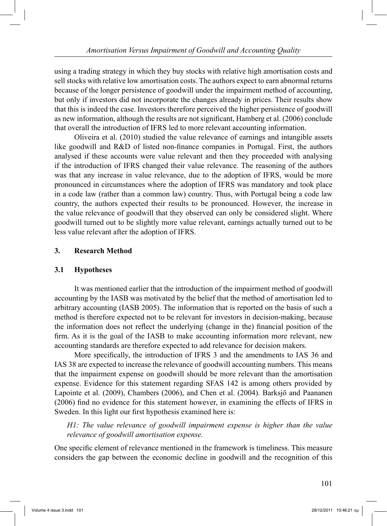using a trading strategy in which they buy stocks with relative high amortisation costs and sell stocks with relative low amortisation costs. The authors expect to earn abnormal returns because of the longer persistence of goodwill under the impairment method of accounting, but only if investors did not incorporate the changes already in prices. Their results show that this is indeed the case. Investors therefore perceived the higher persistence of goodwill as new information, although the results are not significant, Hamberg et al. (2006) conclude that overall the introduction of IFRS led to more relevant accounting information.

 Oliveira et al. (2010) studied the value relevance of earnings and intangible assets like goodwill and R&D of listed non-finance companies in Portugal. First, the authors analysed if these accounts were value relevant and then they proceeded with analysing if the introduction of IFRS changed their value relevance. The reasoning of the authors was that any increase in value relevance, due to the adoption of IFRS, would be more pronounced in circumstances where the adoption of IFRS was mandatory and took place in a code law (rather than a common law) country. Thus, with Portugal being a code law country, the authors expected their results to be pronounced. However, the increase in the value relevance of goodwill that they observed can only be considered slight. Where goodwill turned out to be slightly more value relevant, earnings actually turned out to be less value relevant after the adoption of IFRS.

# **3. Research Method**

#### **3.1 Hypotheses**

 It was mentioned earlier that the introduction of the impairment method of goodwill accounting by the IASB was motivated by the belief that the method of amortisation led to arbitrary accounting (IASB 2005). The information that is reported on the basis of such a method is therefore expected not to be relevant for investors in decision-making, because the information does not reflect the underlying (change in the) financial position of the firm. As it is the goal of the IASB to make accounting information more relevant, new accounting standards are therefore expected to add relevance for decision makers.

 More specifically, the introduction of IFRS 3 and the amendments to IAS 36 and IAS 38 are expected to increase the relevance of goodwill accounting numbers. This means that the impairment expense on goodwill should be more relevant than the amortisation expense. Evidence for this statement regarding SFAS 142 is among others provided by Lapointe et al. (2009), Chambers (2006), and Chen et al. (2004). Barksjö and Paananen (2006) find no evidence for this statement however, in examining the effects of IFRS in Sweden. In this light our first hypothesis examined here is:

*H1: The value relevance of goodwill impairment expense is higher than the value relevance of goodwill amortisation expense.*

One specific element of relevance mentioned in the framework is timeliness. This measure considers the gap between the economic decline in goodwill and the recognition of this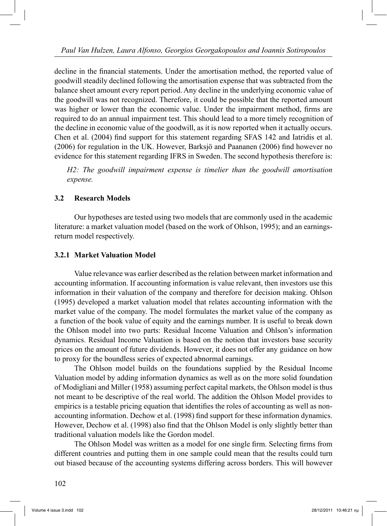decline in the financial statements. Under the amortisation method, the reported value of goodwill steadily declined following the amortisation expense that was subtracted from the balance sheet amount every report period. Any decline in the underlying economic value of the goodwill was not recognized. Therefore, it could be possible that the reported amount was higher or lower than the economic value. Under the impairment method, firms are required to do an annual impairment test. This should lead to a more timely recognition of the decline in economic value of the goodwill, as it is now reported when it actually occurs. Chen et al. (2004) find support for this statement regarding SFAS 142 and Iatridis et al. (2006) for regulation in the UK. However, Barksjö and Paananen (2006) find however no evidence for this statement regarding IFRS in Sweden. The second hypothesis therefore is:

*H2: The goodwill impairment expense is timelier than the goodwill amortisation expense.*

### **3.2 Research Models**

 Our hypotheses are tested using two models that are commonly used in the academic literature: a market valuation model (based on the work of Ohlson, 1995); and an earningsreturn model respectively.

#### **3.2.1 Market Valuation Model**

 Value relevance was earlier described as the relation between market information and accounting information. If accounting information is value relevant, then investors use this information in their valuation of the company and therefore for decision making. Ohlson (1995) developed a market valuation model that relates accounting information with the market value of the company. The model formulates the market value of the company as a function of the book value of equity and the earnings number. It is useful to break down the Ohlson model into two parts: Residual Income Valuation and Ohlson's information dynamics. Residual Income Valuation is based on the notion that investors base security prices on the amount of future dividends. However, it does not offer any guidance on how to proxy for the boundless series of expected abnormal earnings.

 The Ohlson model builds on the foundations supplied by the Residual Income Valuation model by adding information dynamics as well as on the more solid foundation of Modigliani and Miller (1958) assuming perfect capital markets, the Ohlson model is thus not meant to be descriptive of the real world. The addition the Ohlson Model provides to empirics is a testable pricing equation that identifies the roles of accounting as well as nonaccounting information. Dechow et al. (1998) find support for these information dynamics. However, Dechow et al. (1998) also find that the Ohlson Model is only slightly better than traditional valuation models like the Gordon model.

 The Ohlson Model was written as a model for one single firm. Selecting firms from different countries and putting them in one sample could mean that the results could turn out biased because of the accounting systems differing across borders. This will however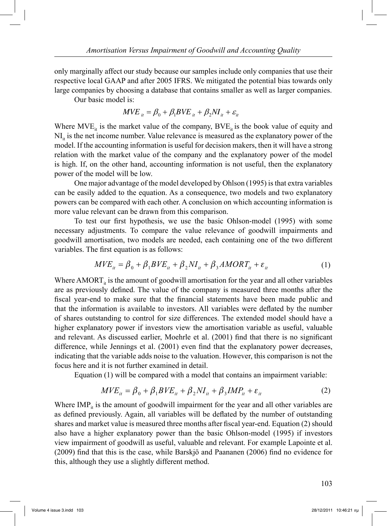only marginally affect our study because our samples include only companies that use their respective local GAAP and after 2005 IFRS. We mitigated the potential bias towards only large companies by choosing a database that contains smaller as well as larger companies.

Our basic model is:

$$
MVE_{it} = \beta_0 + \beta_1 BVE_{it} + \beta_2 NI_{it} + \varepsilon_{it}
$$

Where  $MVE_{ii}$  is the market value of the company,  $BVE_{ii}$  is the book value of equity and  $NI_{ii}$  is the net income number. Value relevance is measured as the explanatory power of the model. If the accounting information is useful for decision makers, then it will have a strong relation with the market value of the company and the explanatory power of the model is high. If, on the other hand, accounting information is not useful, then the explanatory power of the model will be low.

 One major advantage of the model developed by Ohlson (1995) is that extra variables can be easily added to the equation. As a consequence, two models and two explanatory powers can be compared with each other. A conclusion on which accounting information is more value relevant can be drawn from this comparison.

 To test our first hypothesis, we use the basic Ohlson-model (1995) with some necessary adjustments. To compare the value relevance of goodwill impairments and goodwill amortisation, two models are needed, each containing one of the two different variables. The first equation is as follows:

$$
MVE_{it} = \beta_0 + \beta_1 BVE_{it} + \beta_2 NI_{it} + \beta_3 AMORT_{it} + \varepsilon_{it}
$$
 (1)

Where  $AMORT_{it}$  is the amount of goodwill amortisation for the year and all other variables are as previously defined. The value of the company is measured three months after the fiscal year-end to make sure that the financial statements have been made public and that the information is available to investors. All variables were deflated by the number of shares outstanding to control for size differences. The extended model should have a higher explanatory power if investors view the amortisation variable as useful, valuable and relevant. As discussed earlier, Moehrle et al. (2001) find that there is no significant difference, while Jennings et al. (2001) even find that the explanatory power decreases, indicating that the variable adds noise to the valuation. However, this comparison is not the focus here and it is not further examined in detail.

Equation (1) will be compared with a model that contains an impairment variable:

$$
MVE_{it} = \beta_0 + \beta_1 BVE_{it} + \beta_2 NI_{it} + \beta_3 IMP_{it} + \varepsilon_{it}
$$
 (2)

Where  $IMP_{it}$  is the amount of goodwill impairment for the year and all other variables are as defined previously. Again, all variables will be deflated by the number of outstanding shares and market value is measured three months after fiscal year-end. Equation (2) should also have a higher explanatory power than the basic Ohlson-model (1995) if investors view impairment of goodwill as useful, valuable and relevant. For example Lapointe et al. (2009) find that this is the case, while Barskjö and Paananen (2006) find no evidence for this, although they use a slightly different method.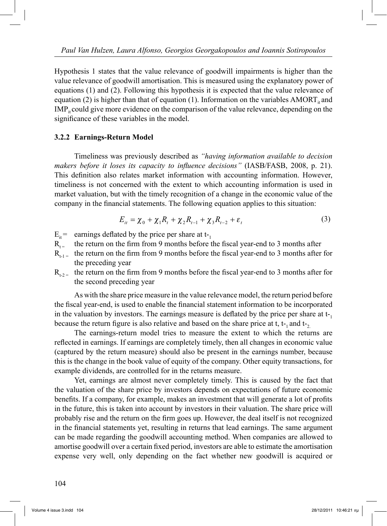Hypothesis 1 states that the value relevance of goodwill impairments is higher than the value relevance of goodwill amortisation. This is measured using the explanatory power of equations (1) and (2). Following this hypothesis it is expected that the value relevance of equation (2) is higher than that of equation (1). Information on the variables AMORT, and  $IMP<sub>it</sub> could give more evidence on the comparison of the value relevance, depending on the$ significance of these variables in the model.

### **3.2.2 Earnings-Return Model**

 Timeliness was previously described as *"having information available to decision makers before it loses its capacity to influence decisions"* (IASB/FASB, 2008, p. 21). This definition also relates market information with accounting information. However, timeliness is not concerned with the extent to which accounting information is used in market valuation, but with the timely recognition of a change in the economic value of the company in the financial statements. The following equation applies to this situation:

$$
E_{it} = \chi_0 + \chi_1 R_t + \chi_2 R_{t-1} + \chi_3 R_{t-2} + \varepsilon_t
$$
 (3)

- $E_{it}$  = earnings deflated by the price per share at t-1
- $R_{t}$  the return on the firm from 9 months before the fiscal year-end to 3 months after
- $R_{t-1}$  the return on the firm from 9 months before the fiscal year-end to 3 months after for the preceding year
- $R_{t,2}$  the return on the firm from 9 months before the fiscal year-end to 3 months after for the second preceding year

 As with the share price measure in the value relevance model, the return period before the fiscal year-end, is used to enable the financial statement information to be incorporated in the valuation by investors. The earnings measure is deflated by the price per share at  $t_{-1}$ because the return figure is also relative and based on the share price at t,  $t_1$  and  $t_2$ .

 The earnings-return model tries to measure the extent to which the returns are reflected in earnings. If earnings are completely timely, then all changes in economic value (captured by the return measure) should also be present in the earnings number, because this is the change in the book value of equity of the company. Other equity transactions, for example dividends, are controlled for in the returns measure.

 Yet, earnings are almost never completely timely. This is caused by the fact that the valuation of the share price by investors depends on expectations of future economic benefits. If a company, for example, makes an investment that will generate a lot of profits in the future, this is taken into account by investors in their valuation. The share price will probably rise and the return on the firm goes up. However, the deal itself is not recognized in the financial statements yet, resulting in returns that lead earnings. The same argument can be made regarding the goodwill accounting method. When companies are allowed to amortise goodwill over a certain fixed period, investors are able to estimate the amortisation expense very well, only depending on the fact whether new goodwill is acquired or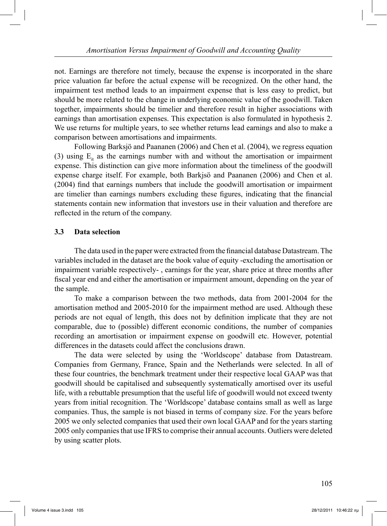not. Earnings are therefore not timely, because the expense is incorporated in the share price valuation far before the actual expense will be recognized. On the other hand, the impairment test method leads to an impairment expense that is less easy to predict, but should be more related to the change in underlying economic value of the goodwill. Taken together, impairments should be timelier and therefore result in higher associations with earnings than amortisation expenses. This expectation is also formulated in hypothesis 2. We use returns for multiple years, to see whether returns lead earnings and also to make a comparison between amortisations and impairments.

 Following Barksjö and Paananen (2006) and Chen et al. (2004), we regress equation (3) using  $E_{it}$  as the earnings number with and without the amortisation or impairment expense. This distinction can give more information about the timeliness of the goodwill expense charge itself. For example, both Barkjsö and Paananen (2006) and Chen et al. (2004) find that earnings numbers that include the goodwill amortisation or impairment are timelier than earnings numbers excluding these figures, indicating that the financial statements contain new information that investors use in their valuation and therefore are reflected in the return of the company.

### **3.3 Data selection**

 The data used in the paper were extracted from the financial database Datastream. The variables included in the dataset are the book value of equity -excluding the amortisation or impairment variable respectively- , earnings for the year, share price at three months after fiscal year end and either the amortisation or impairment amount, depending on the year of the sample.

 To make a comparison between the two methods, data from 2001-2004 for the amortisation method and 2005-2010 for the impairment method are used. Although these periods are not equal of length, this does not by definition implicate that they are not comparable, due to (possible) different economic conditions, the number of companies recording an amortisation or impairment expense on goodwill etc. However, potential differences in the datasets could affect the conclusions drawn.

 The data were selected by using the 'Worldscope' database from Datastream. Companies from Germany, France, Spain and the Netherlands were selected. In all of these four countries, the benchmark treatment under their respective local GAAP was that goodwill should be capitalised and subsequently systematically amortised over its useful life, with a rebuttable presumption that the useful life of goodwill would not exceed twenty years from initial recognition. The 'Worldscope' database contains small as well as large companies. Thus, the sample is not biased in terms of company size. For the years before 2005 we only selected companies that used their own local GAAP and for the years starting 2005 only companies that use IFRS to comprise their annual accounts. Outliers were deleted by using scatter plots.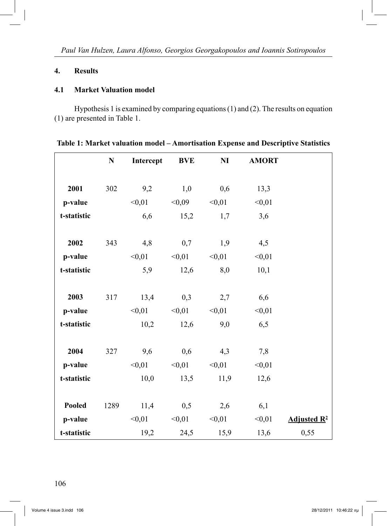# **4. Results**

#### **4.1 Market Valuation model**

 Hypothesis 1 is examined by comparing equations (1) and (2). The results on equation (1) are presented in Table 1.

|             | ${\bf N}$ | Intercept | <b>BVE</b> | N <sub>I</sub> | <b>AMORT</b> |                |
|-------------|-----------|-----------|------------|----------------|--------------|----------------|
|             |           |           |            |                |              |                |
| 2001        | 302       | 9,2       | 1,0        | 0,6            | 13,3         |                |
| p-value     |           | < 0.01    | < 0.09     | < 0.01         | < 0.01       |                |
| t-statistic |           | 6,6       | 15,2       | 1,7            | 3,6          |                |
|             |           |           |            |                |              |                |
| 2002        | 343       | 4,8       | 0,7        | 1,9            | 4,5          |                |
| p-value     |           | < 0.01    | < 0.01     | < 0.01         | < 0.01       |                |
| t-statistic |           | 5,9       | 12,6       | 8,0            | 10,1         |                |
|             |           |           |            |                |              |                |
| 2003        | 317       | 13,4      | 0,3        | 2,7            | 6,6          |                |
| p-value     |           | < 0.01    | < 0.01     | < 0.01         | < 0.01       |                |
| t-statistic |           | 10,2      | 12,6       | 9,0            | 6,5          |                |
|             |           |           |            |                |              |                |
| 2004        | 327       | 9,6       | 0,6        | 4,3            | 7,8          |                |
| p-value     |           | < 0.01    | < 0.01     | < 0.01         | < 0.01       |                |
| t-statistic |           | 10,0      | 13,5       | 11,9           | 12,6         |                |
|             |           |           |            |                |              |                |
| Pooled      | 1289      | 11,4      | 0,5        | 2,6            | 6,1          |                |
| p-value     |           | < 0.01    | < 0.01     | < 0.01         | < 0.01       | Adjusted $R^2$ |
| t-statistic |           | 19,2      | 24,5       | 15,9           | 13,6         | 0,55           |

| Table 1: Market valuation model – Amortisation Expense and Descriptive Statistics |  |  |
|-----------------------------------------------------------------------------------|--|--|
|-----------------------------------------------------------------------------------|--|--|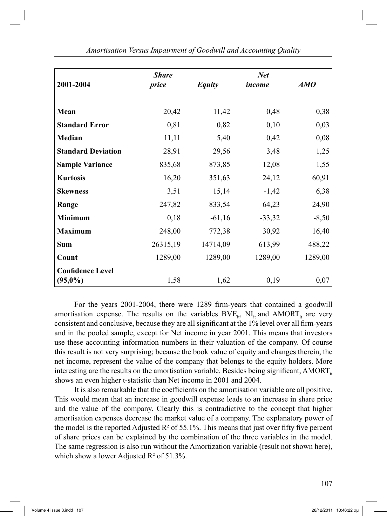| 2001-2004                             | <b>Share</b><br>price | <b>Equity</b> | <b>Net</b><br>income | AMO     |
|---------------------------------------|-----------------------|---------------|----------------------|---------|
| Mean                                  | 20,42                 | 11,42         | 0,48                 | 0,38    |
| <b>Standard Error</b>                 | 0,81                  | 0,82          | 0,10                 | 0,03    |
| Median                                | 11,11                 | 5,40          | 0,42                 | 0,08    |
| <b>Standard Deviation</b>             | 28,91                 | 29,56         | 3,48                 | 1,25    |
| <b>Sample Variance</b>                | 835,68                | 873,85        | 12,08                | 1,55    |
| <b>Kurtosis</b>                       | 16,20                 | 351,63        | 24,12                | 60,91   |
| <b>Skewness</b>                       | 3,51                  | 15,14         | $-1,42$              | 6,38    |
| Range                                 | 247,82                | 833,54        | 64,23                | 24,90   |
| <b>Minimum</b>                        | 0,18                  | $-61,16$      | $-33,32$             | $-8,50$ |
| <b>Maximum</b>                        | 248,00                | 772,38        | 30,92                | 16,40   |
| <b>Sum</b>                            | 26315,19              | 14714,09      | 613,99               | 488,22  |
| Count                                 | 1289,00               | 1289,00       | 1289,00              | 1289,00 |
| <b>Confidence Level</b><br>$(95,0\%)$ | 1,58                  | 1,62          | 0,19                 | 0,07    |

*Amortisation Versus Impairment of Goodwill and Accounting Quality*

 For the years 2001-2004, there were 1289 firm-years that contained a goodwill amortisation expense. The results on the variables  $BVE_{it}$ ,  $NI_{it}$  and  $AMORT_{it}$  are very consistent and conclusive, because they are all significant at the 1% level over all firm-years and in the pooled sample, except for Net income in year 2001. This means that investors use these accounting information numbers in their valuation of the company. Of course this result is not very surprising; because the book value of equity and changes therein, the net income, represent the value of the company that belongs to the equity holders. More interesting are the results on the amortisation variable. Besides being significant,  $AMORT_{it}$ shows an even higher t-statistic than Net income in 2001 and 2004.

 It is also remarkable that the coefficients on the amortisation variable are all positive. This would mean that an increase in goodwill expense leads to an increase in share price and the value of the company. Clearly this is contradictive to the concept that higher amortisation expenses decrease the market value of a company. The explanatory power of the model is the reported Adjusted  $\mathbb{R}^2$  of 55.1%. This means that just over fifty five percent of share prices can be explained by the combination of the three variables in the model. The same regression is also run without the Amortization variable (result not shown here), which show a lower Adjusted  $R^2$  of 51.3%.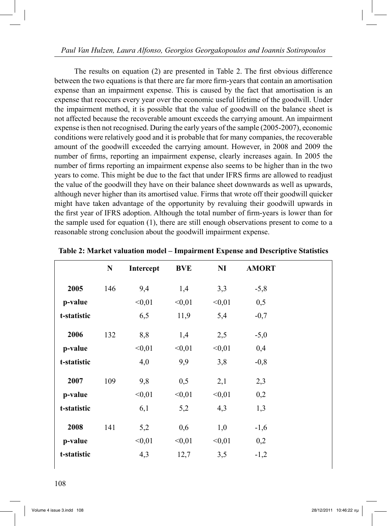The results on equation (2) are presented in Table 2. The first obvious difference between the two equations is that there are far more firm-years that contain an amortisation expense than an impairment expense. This is caused by the fact that amortisation is an expense that reoccurs every year over the economic useful lifetime of the goodwill. Under the impairment method, it is possible that the value of goodwill on the balance sheet is not affected because the recoverable amount exceeds the carrying amount. An impairment expense is then not recognised. During the early years of the sample (2005-2007), economic conditions were relatively good and it is probable that for many companies, the recoverable amount of the goodwill exceeded the carrying amount. However, in 2008 and 2009 the number of firms, reporting an impairment expense, clearly increases again. In 2005 the number of firms reporting an impairment expense also seems to be higher than in the two years to come. This might be due to the fact that under IFRS firms are allowed to readjust the value of the goodwill they have on their balance sheet downwards as well as upwards, although never higher than its amortised value. Firms that wrote off their goodwill quicker might have taken advantage of the opportunity by revaluing their goodwill upwards in the first year of IFRS adoption. Although the total number of firm-years is lower than for the sample used for equation (1), there are still enough observations present to come to a reasonable strong conclusion about the goodwill impairment expense.

|             | ${\bf N}$ | Intercept | <b>BVE</b> | $\mathbf{N}\mathbf{I}$ | <b>AMORT</b> |
|-------------|-----------|-----------|------------|------------------------|--------------|
| 2005        | 146       | 9,4       | 1,4        | 3,3                    | $-5,8$       |
| p-value     |           | < 0.01    | < 0.01     | < 0.01                 | 0,5          |
| t-statistic |           | 6,5       | 11,9       | 5,4                    | $-0,7$       |
| 2006        | 132       | 8,8       | 1,4        | 2,5                    | $-5,0$       |
| p-value     |           | < 0.01    | < 0.01     | < 0.01                 | 0,4          |
| t-statistic |           | 4,0       | 9,9        | 3,8                    | $-0,8$       |
| 2007        | 109       | 9,8       | 0,5        | 2,1                    | 2,3          |
| p-value     |           | < 0.01    | < 0.01     | < 0.01                 | 0,2          |
| t-statistic |           | 6,1       | 5,2        | 4,3                    | 1,3          |
| 2008        | 141       | 5,2       | 0,6        | 1,0                    | $-1,6$       |
| p-value     |           | < 0.01    | < 0.01     | < 0.01                 | 0,2          |
| t-statistic |           | 4,3       | 12,7       | 3,5                    | $-1,2$       |

**Table 2: Market valuation model – Impairment Expense and Descriptive Statistics**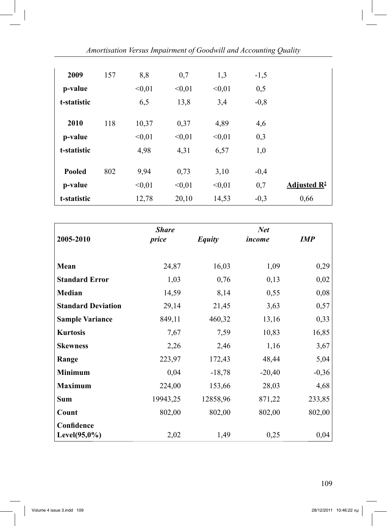| 2009          | 157 | 8,8    | 0,7    | 1,3    | $-1,5$ |                         |
|---------------|-----|--------|--------|--------|--------|-------------------------|
| p-value       |     | < 0.01 | < 0.01 | < 0.01 | 0,5    |                         |
| t-statistic   |     | 6,5    | 13,8   | 3,4    | $-0,8$ |                         |
| 2010          | 118 | 10,37  | 0,37   | 4,89   | 4,6    |                         |
| p-value       |     | < 0.01 | < 0.01 | < 0.01 | 0,3    |                         |
| t-statistic   |     | 4,98   | 4,31   | 6,57   | 1,0    |                         |
| <b>Pooled</b> | 802 | 9,94   | 0,73   | 3,10   | $-0,4$ |                         |
| p-value       |     | < 0.01 | < 0.01 | < 0.01 | 0,7    | Adjusted $\mathbb{R}^2$ |
| t-statistic   |     | 12,78  | 20,10  | 14,53  | $-0,3$ | 0,66                    |

*Amortisation Versus Impairment of Goodwill and Accounting Quality*

|                           | <b>Share</b> |               | <b>Net</b> |            |
|---------------------------|--------------|---------------|------------|------------|
| 2005-2010                 | price        | <b>Equity</b> | income     | <b>IMP</b> |
| Mean                      | 24,87        | 16,03         | 1,09       | 0,29       |
| <b>Standard Error</b>     | 1,03         | 0,76          | 0,13       | 0,02       |
| <b>Median</b>             | 14,59        | 8,14          | 0,55       | 0,08       |
| <b>Standard Deviation</b> | 29,14        | 21,45         | 3,63       | 0,57       |
| <b>Sample Variance</b>    | 849,11       | 460,32        | 13,16      | 0,33       |
| <b>Kurtosis</b>           | 7,67         | 7,59          | 10,83      | 16,85      |
| <b>Skewness</b>           | 2,26         | 2,46          | 1,16       | 3,67       |
| Range                     | 223,97       | 172,43        | 48,44      | 5,04       |
| <b>Minimum</b>            | 0,04         | $-18,78$      | $-20,40$   | $-0,36$    |
| <b>Maximum</b>            | 224,00       | 153,66        | 28,03      | 4,68       |
| <b>Sum</b>                | 19943,25     | 12858,96      | 871,22     | 233,85     |
| Count                     | 802,00       | 802,00        | 802,00     | 802,00     |
| Confidence                |              |               |            |            |
| Level $(95,0\%)$          | 2,02         | 1,49          | 0,25       | 0,04       |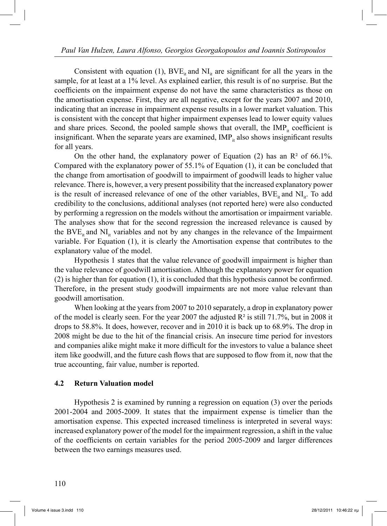Consistent with equation (1),  $BVE_{it}$  and  $NI_{it}$  are significant for all the years in the sample, for at least at a 1% level. As explained earlier, this result is of no surprise. But the coefficients on the impairment expense do not have the same characteristics as those on the amortisation expense. First, they are all negative, except for the years 2007 and 2010, indicating that an increase in impairment expense results in a lower market valuation. This is consistent with the concept that higher impairment expenses lead to lower equity values and share prices. Second, the pooled sample shows that overall, the  $IMP<sub>it</sub>$  coefficient is insignificant. When the separate years are examined,  $IMP<sub>it</sub>$  also shows insignificant results for all years.

On the other hand, the explanatory power of Equation (2) has an  $\mathbb{R}^2$  of 66.1%. Compared with the explanatory power of 55.1% of Equation (1), it can be concluded that the change from amortisation of goodwill to impairment of goodwill leads to higher value relevance. There is, however, a very present possibility that the increased explanatory power is the result of increased relevance of one of the other variables,  $BVE_{it}$  and  $NI_{it}$ . To add credibility to the conclusions, additional analyses (not reported here) were also conducted by performing a regression on the models without the amortisation or impairment variable. The analyses show that for the second regression the increased relevance is caused by the BVE<sub>it</sub> and NI<sub>it</sub> variables and not by any changes in the relevance of the Impairment variable. For Equation (1), it is clearly the Amortisation expense that contributes to the explanatory value of the model.

 Hypothesis 1 states that the value relevance of goodwill impairment is higher than the value relevance of goodwill amortisation. Although the explanatory power for equation (2) is higher than for equation (1), it is concluded that this hypothesis cannot be confirmed. Therefore, in the present study goodwill impairments are not more value relevant than goodwill amortisation.

 When looking at the years from 2007 to 2010 separately, a drop in explanatory power of the model is clearly seen. For the year 2007 the adjusted  $\mathbb{R}^2$  is still 71.7%, but in 2008 it drops to 58.8%. It does, however, recover and in 2010 it is back up to 68.9%. The drop in 2008 might be due to the hit of the financial crisis. An insecure time period for investors and companies alike might make it more difficult for the investors to value a balance sheet item like goodwill, and the future cash flows that are supposed to flow from it, now that the true accounting, fair value, number is reported.

#### **4.2 Return Valuation model**

 Hypothesis 2 is examined by running a regression on equation (3) over the periods 2001-2004 and 2005-2009. It states that the impairment expense is timelier than the amortisation expense. This expected increased timeliness is interpreted in several ways: increased explanatory power of the model for the impairment regression, a shift in the value of the coefficients on certain variables for the period 2005-2009 and larger differences between the two earnings measures used.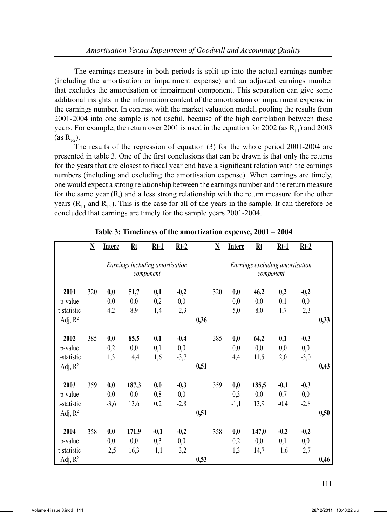The earnings measure in both periods is split up into the actual earnings number (including the amortisation or impairment expense) and an adjusted earnings number that excludes the amortisation or impairment component. This separation can give some additional insights in the information content of the amortisation or impairment expense in the earnings number. In contrast with the market valuation model, pooling the results from 2001-2004 into one sample is not useful, because of the high correlation between these years. For example, the return over 2001 is used in the equation for 2002 (as  $R_{t-1}$ ) and 2003  $(as R<sub>1.2</sub>)$ .

 The results of the regression of equation (3) for the whole period 2001-2004 are presented in table 3. One of the first conclusions that can be drawn is that only the returns for the years that are closest to fiscal year end have a significant relation with the earnings numbers (including and excluding the amortisation expense). When earnings are timely, one would expect a strong relationship between the earnings number and the return measure for the same year  $(R_t)$  and a less strong relationship with the return measure for the other years  $(R_{t-1}$  and  $R_{t-2})$ . This is the case for all of the years in the sample. It can therefore be concluded that earnings are timely for the sample years 2001-2004.

|             | $\underline{\textbf{N}}$                     | <b>Interc</b> | Rt    | $Rt-1$ | $Rt-2$ |      | $\underline{\mathbf{N}}$ | <b>Interc</b> | Rt                              | $Rt-1$    | $Rt-2$ |      |
|-------------|----------------------------------------------|---------------|-------|--------|--------|------|--------------------------|---------------|---------------------------------|-----------|--------|------|
|             | Earnings including amortisation<br>component |               |       |        |        |      |                          |               | Earnings excluding amortisation | component |        |      |
| 2001        | 320                                          | 0,0           | 51,7  | 0,1    | $-0,2$ |      | 320                      | 0,0           | 46,2                            | 0,2       | $-0,2$ |      |
| p-value     |                                              | 0,0           | 0,0   | 0,2    | 0,0    |      |                          | 0,0           | 0,0                             | 0,1       | 0,0    |      |
| t-statistic |                                              | 4,2           | 8,9   | 1,4    | $-2,3$ |      |                          | 5,0           | 8,0                             | 1,7       | $-2,3$ |      |
| Adj, $R^2$  |                                              |               |       |        |        | 0,36 |                          |               |                                 |           |        | 0,33 |
| 2002        | 385                                          | 0,0           | 85,5  | 0,1    | $-0,4$ |      | 385                      | 0,0           | 64,2                            | 0,1       | $-0,3$ |      |
| p-value     |                                              | 0,2           | 0,0   | 0,1    | 0,0    |      |                          | 0,0           | 0,0                             | 0,0       | 0,0    |      |
| t-statistic |                                              | 1,3           | 14,4  | 1,6    | $-3,7$ |      |                          | 4,4           | 11,5                            | 2,0       | $-3,0$ |      |
| Adj, $R^2$  |                                              |               |       |        |        | 0,51 |                          |               |                                 |           |        | 0,43 |
| 2003        | 359                                          | 0,0           | 187,3 | 0,0    | $-0,3$ |      | 359                      | 0,0           | 185,5                           | $-0,1$    | $-0,3$ |      |
| p-value     |                                              | 0,0           | 0,0   | 0,8    | 0,0    |      |                          | 0,3           | 0,0                             | 0,7       | 0,0    |      |
| t-statistic |                                              | $-3,6$        | 13,6  | 0,2    | $-2,8$ |      |                          | $-1,1$        | 13,9                            | $-0,4$    | $-2,8$ |      |
| Adj, $R^2$  |                                              |               |       |        |        | 0,51 |                          |               |                                 |           |        | 0,50 |
| 2004        | 358                                          | 0,0           | 171,9 | $-0,1$ | $-0,2$ |      | 358                      | 0,0           | 147,0                           | $-0,2$    | $-0,2$ |      |
| p-value     |                                              | 0,0           | 0,0   | 0,3    | 0,0    |      |                          | 0,2           | 0,0                             | 0,1       | 0,0    |      |
| t-statistic |                                              | $-2,5$        | 16,3  | $-1,1$ | $-3,2$ |      |                          | 1,3           | 14,7                            | $-1,6$    | $-2,7$ |      |
| Adj, $R^2$  |                                              |               |       |        |        | 0,53 |                          |               |                                 |           |        | 0,46 |

# **Table 3: Timeliness of the amortization expense, 2001 – 2004**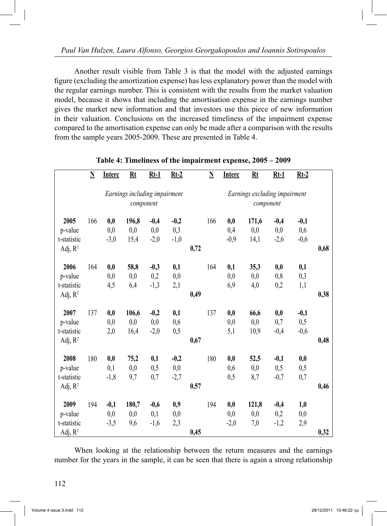Another result visible from Table 3 is that the model with the adjusted earnings figure (excluding the amortization expense) has less explanatory power than the model with the regular earnings number. This is consistent with the results from the market valuation model, because it shows that including the amortisation expense in the earnings number gives the market new information and that investors use this piece of new information in their valuation. Conclusions on the increased timeliness of the impairment expense compared to the amortisation expense can only be made after a comparison with the results from the sample years 2005-2009. These are presented in Table 4.

|             | $\underline{\mathbf{N}}$      | <b>Interc</b> | Rt    | $Rt-1$ | $Rt-2$ |      | $\underline{\mathbf{N}}$ | <b>Interc</b> | Rt                            | $Rt-1$ | $Rt-2$ |      |
|-------------|-------------------------------|---------------|-------|--------|--------|------|--------------------------|---------------|-------------------------------|--------|--------|------|
|             | Earnings including impairment |               |       |        |        |      |                          |               | Earnings excluding impairment |        |        |      |
|             | component                     |               |       |        |        |      |                          |               | component                     |        |        |      |
| 2005        | 166                           | 0,0           | 196,8 | $-0,4$ | $-0,2$ |      | 166                      | 0,0           | 171,6                         | $-0,4$ | $-0,1$ |      |
| p-value     |                               | 0,0           | 0,0   | 0,0    | 0,3    |      |                          | 0,4           | 0,0                           | 0,0    | 0,6    |      |
| t-statistic |                               | $-3,0$        | 15,4  | $-2,0$ | $-1,0$ |      |                          | $-0,9$        | 14,1                          | $-2,6$ | $-0,6$ |      |
| Adj, $R^2$  |                               |               |       |        |        | 0,72 |                          |               |                               |        |        | 0,68 |
| 2006        | 164                           | 0,0           | 58,8  | $-0,3$ | 0,1    |      | 164                      | 0,1           | 35,3                          | 0,0    | 0,1    |      |
| p-value     |                               | 0,0           | 0,0   | 0,2    | 0,0    |      |                          | 0,0           | 0,0                           | 0,8    | 0,3    |      |
| t-statistic |                               | 4,5           | 6,4   | $-1,3$ | 2,1    |      |                          | 6,9           | 4,0                           | 0,2    | 1,1    |      |
| Adj, $R^2$  |                               |               |       |        |        | 0,49 |                          |               |                               |        |        | 0,38 |
|             |                               |               |       |        |        |      |                          |               |                               |        |        |      |
| 2007        | 137                           | 0,0           | 106,6 | $-0,2$ | 0,1    |      | 137                      | 0,0           | 66,6                          | 0,0    | $-0,1$ |      |
| p-value     |                               | 0,0           | 0,0   | 0,0    | 0,6    |      |                          | 0,0           | 0,0                           | 0,7    | 0,5    |      |
| t-statistic |                               | 2,0           | 16,4  | $-2,0$ | 0,5    |      |                          | 5,1           | 10,9                          | $-0,4$ | $-0,6$ |      |
| Adj, $R^2$  |                               |               |       |        |        | 0,67 |                          |               |                               |        |        | 0,48 |
| 2008        | 180                           | 0,0           | 75,2  | 0,1    | $-0,2$ |      | 180                      | 0,0           | 52,5                          | $-0,1$ | 0,0    |      |
| p-value     |                               | 0,1           | 0,0   | 0,5    | 0,0    |      |                          | 0,6           | 0,0                           | 0,5    | 0,5    |      |
| t-statistic |                               | $-1,8$        | 9,7   | 0,7    | $-2,7$ |      |                          | 0,5           | 8,7                           | $-0,7$ | 0,7    |      |
| Adj, $R^2$  |                               |               |       |        |        | 0,57 |                          |               |                               |        |        | 0,46 |
| 2009        | 194                           | $-0,1$        | 180,7 | $-0,6$ | 0,9    |      | 194                      | 0,0           | 121,8                         | $-0,4$ | 1,0    |      |
| p-value     |                               | 0,0           | 0,0   | 0,1    | 0,0    |      |                          | 0,0           | 0,0                           | 0,2    | 0,0    |      |
| t-statistic |                               | $-3,5$        | 9,6   | $-1,6$ | 2,3    |      |                          | $-2,0$        | 7,0                           | $-1,2$ | 2,9    |      |
| Adj, $R^2$  |                               |               |       |        |        | 0,45 |                          |               |                               |        |        | 0,32 |

#### **Table 4: Timeliness of the impairment expense, 2005 – 2009**

 When looking at the relationship between the return measures and the earnings number for the years in the sample, it can be seen that there is again a strong relationship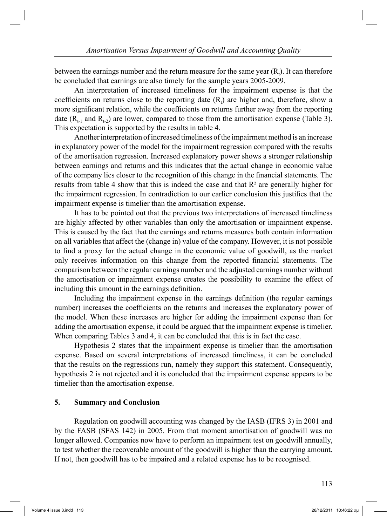between the earnings number and the return measure for the same year  $(R_t)$ . It can therefore be concluded that earnings are also timely for the sample years 2005-2009.

 An interpretation of increased timeliness for the impairment expense is that the coefficients on returns close to the reporting date  $(R_t)$  are higher and, therefore, show a more significant relation, while the coefficients on returns further away from the reporting date  $(R_{t-1}$  and  $R_{t-2}$ ) are lower, compared to those from the amortisation expense (Table 3). This expectation is supported by the results in table 4.

 Another interpretation of increased timeliness of the impairment method is an increase in explanatory power of the model for the impairment regression compared with the results of the amortisation regression. Increased explanatory power shows a stronger relationship between earnings and returns and this indicates that the actual change in economic value of the company lies closer to the recognition of this change in the financial statements. The results from table 4 show that this is indeed the case and that  $R<sup>2</sup>$  are generally higher for the impairment regression. In contradiction to our earlier conclusion this justifies that the impairment expense is timelier than the amortisation expense.

 It has to be pointed out that the previous two interpretations of increased timeliness are highly affected by other variables than only the amortisation or impairment expense. This is caused by the fact that the earnings and returns measures both contain information on all variables that affect the (change in) value of the company. However, it is not possible to find a proxy for the actual change in the economic value of goodwill, as the market only receives information on this change from the reported financial statements. The comparison between the regular earnings number and the adjusted earnings number without the amortisation or impairment expense creates the possibility to examine the effect of including this amount in the earnings definition.

 Including the impairment expense in the earnings definition (the regular earnings number) increases the coefficients on the returns and increases the explanatory power of the model. When these increases are higher for adding the impairment expense than for adding the amortisation expense, it could be argued that the impairment expense is timelier. When comparing Tables 3 and 4, it can be concluded that this is in fact the case.

 Hypothesis 2 states that the impairment expense is timelier than the amortisation expense. Based on several interpretations of increased timeliness, it can be concluded that the results on the regressions run, namely they support this statement. Consequently, hypothesis 2 is not rejected and it is concluded that the impairment expense appears to be timelier than the amortisation expense.

#### **5. Summary and Conclusion**

 Regulation on goodwill accounting was changed by the IASB (IFRS 3) in 2001 and by the FASB (SFAS 142) in 2005. From that moment amortisation of goodwill was no longer allowed. Companies now have to perform an impairment test on goodwill annually, to test whether the recoverable amount of the goodwill is higher than the carrying amount. If not, then goodwill has to be impaired and a related expense has to be recognised.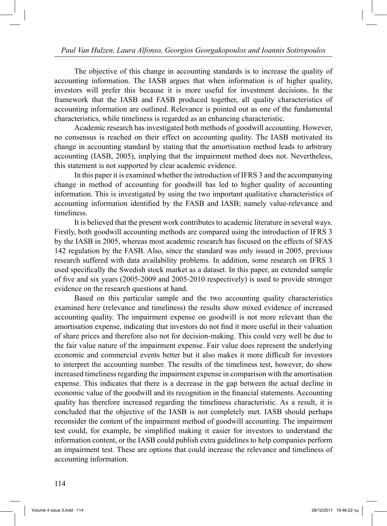The objective of this change in accounting standards is to increase the quality of accounting information. The IASB argues that when information is of higher quality, investors will prefer this because it is more useful for investment decisions. In the framework that the IASB and FASB produced together, all quality characteristics of accounting information are outlined. Relevance is pointed out as one of the fundamental characteristics, while timeliness is regarded as an enhancing characteristic.

 Academic research has investigated both methods of goodwill accounting. However, no consensus is reached on their effect on accounting quality. The IASB motivated its change in accounting standard by stating that the amortisation method leads to arbitrary accounting (IASB, 2005), implying that the impairment method does not. Nevertheless, this statement is not supported by clear academic evidence.

 In this paper it is examined whether the introduction of IFRS 3 and the accompanying change in method of accounting for goodwill has led to higher quality of accounting information. This is investigated by using the two important qualitative characteristics of accounting information identified by the FASB and IASB; namely value-relevance and timeliness.

 It is believed that the present work contributes to academic literature in several ways. Firstly, both goodwill accounting methods are compared using the introduction of IFRS 3 by the IASB in 2005, whereas most academic research has focused on the effects of SFAS 142 regulation by the FASB. Also, since the standard was only issued in 2005, previous research suffered with data availability problems. In addition, some research on IFRS 3 used specifically the Swedish stock market as a dataset. In this paper, an extended sample of five and six years (2005-2009 and 2005-2010 respectively) is used to provide stronger evidence on the research questions at hand.

 Based on this particular sample and the two accounting quality characteristics examined here (relevance and timeliness) the results show mixed evidence of increased accounting quality. The impairment expense on goodwill is not more relevant than the amortisation expense, indicating that investors do not find it more useful in their valuation of share prices and therefore also not for decision-making. This could very well be due to the fair value nature of the impairment expense. Fair value does represent the underlying economic and commercial events better but it also makes it more difficult for investors to interpret the accounting number. The results of the timeliness test, however, do show increased timeliness regarding the impairment expense in comparison with the amortisation expense. This indicates that there is a decrease in the gap between the actual decline in economic value of the goodwill and its recognition in the financial statements. Accounting quality has therefore increased regarding the timeliness characteristic. As a result, it is concluded that the objective of the IASB is not completely met. IASB should perhaps reconsider the content of the impairment method of goodwill accounting. The impairment test could, for example, be simplified making it easier for investors to understand the information content, or the IASB could publish extra guidelines to help companies perform an impairment test. These are options that could increase the relevance and timeliness of accounting information.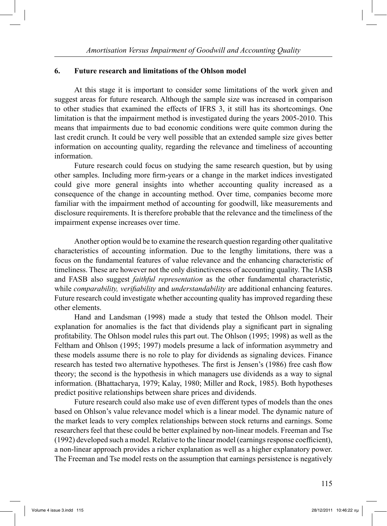#### **6. Future research and limitations of the Ohlson model**

 At this stage it is important to consider some limitations of the work given and suggest areas for future research. Although the sample size was increased in comparison to other studies that examined the effects of IFRS 3, it still has its shortcomings. One limitation is that the impairment method is investigated during the years 2005-2010. This means that impairments due to bad economic conditions were quite common during the last credit crunch. It could be very well possible that an extended sample size gives better information on accounting quality, regarding the relevance and timeliness of accounting information.

 Future research could focus on studying the same research question, but by using other samples. Including more firm-years or a change in the market indices investigated could give more general insights into whether accounting quality increased as a consequence of the change in accounting method. Over time, companies become more familiar with the impairment method of accounting for goodwill, like measurements and disclosure requirements. It is therefore probable that the relevance and the timeliness of the impairment expense increases over time.

 Another option would be to examine the research question regarding other qualitative characteristics of accounting information. Due to the lengthy limitations, there was a focus on the fundamental features of value relevance and the enhancing characteristic of timeliness. These are however not the only distinctiveness of accounting quality. The IASB and FASB also suggest *faithful representation* as the other fundamental characteristic, while *comparability, verifiability* and *understandability* are additional enhancing features. Future research could investigate whether accounting quality has improved regarding these other elements.

 Hand and Landsman (1998) made a study that tested the Ohlson model. Their explanation for anomalies is the fact that dividends play a significant part in signaling profitability. The Ohlson model rules this part out. The Ohlson (1995; 1998) as well as the Feltham and Ohlson (1995; 1997) models presume a lack of information asymmetry and these models assume there is no role to play for dividends as signaling devices. Finance research has tested two alternative hypotheses. The first is Jensen's (1986) free cash flow theory; the second is the hypothesis in which managers use dividends as a way to signal information. (Bhattacharya, 1979; Kalay, 1980; Miller and Rock, 1985). Both hypotheses predict positive relationships between share prices and dividends.

 Future research could also make use of even different types of models than the ones based on Ohlson's value relevance model which is a linear model. The dynamic nature of the market leads to very complex relationships between stock returns and earnings. Some researchers feel that these could be better explained by non-linear models. Freeman and Tse (1992) developed such a model. Relative to the linear model (earnings response coefficient), a non-linear approach provides a richer explanation as well as a higher explanatory power. The Freeman and Tse model rests on the assumption that earnings persistence is negatively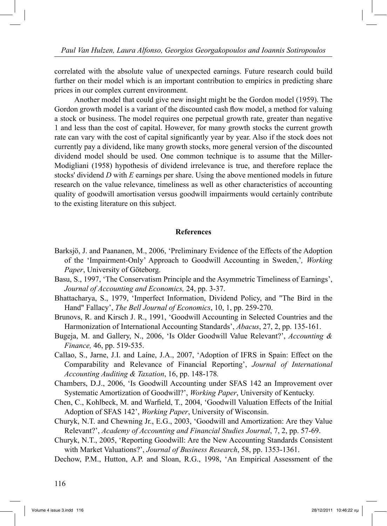correlated with the absolute value of unexpected earnings. Future research could build further on their model which is an important contribution to empirics in predicting share prices in our complex current environment.

 Another model that could give new insight might be the Gordon model (1959). The Gordon growth model is a variant of the discounted cash flow model, a method for valuing a stock or business. The model requires one perpetual growth rate, greater than negative 1 and less than the cost of capital. However, for many growth stocks the current growth rate can vary with the cost of capital significantly year by year. Also if the stock does not currently pay a dividend, like many growth stocks, more general version of the discounted dividend model should be used. One common technique is to assume that the Miller-Modigliani (1958) hypothesis of dividend irrelevance is true, and therefore replace the stocks' dividend *D* with *E* earnings per share. Using the above mentioned models in future research on the value relevance, timeliness as well as other characteristics of accounting quality of goodwill amortisation versus goodwill impairments would certainly contribute to the existing literature on this subject.

#### **References**

- Barksjö, J. and Paananen, M., 2006, 'Preliminary Evidence of the Effects of the Adoption of the 'Impairment-Only' Approach to Goodwill Accounting in Sweden,'*, Working Paper*, University of Göteborg.
- Basu, S., 1997, 'The Conservatism Principle and the Asymmetric Timeliness of Earnings', *Journal of Accounting and Economics,* 24, pp. 3-37.
- Bhattacharya, S., 1979, 'Imperfect Information, Dividend Policy, and "The Bird in the Hand" Fallacy', *The Bell Journal of Economics*, 10, 1, pp. 259-270.
- Brunovs, R. and Kirsch J. R., 1991, 'Goodwill Accounting in Selected Countries and the Harmonization of International Accounting Standards', *Abacus*, 27, 2, pp. 135-161.
- Bugeja, M. and Gallery, N., 2006, 'Is Older Goodwill Value Relevant?', *Accounting & Finance,* 46, pp. 519-535.
- Callao, S., Jarne, J.I. and Laíne, J.A., 2007, 'Adoption of IFRS in Spain: Effect on the Comparability and Relevance of Financial Reporting', *Journal of International Accounting Auditing & Taxation*, 16, pp. 148-178*.*
- Chambers, D.J., 2006, 'Is Goodwill Accounting under SFAS 142 an Improvement over Systematic Amortization of Goodwill?', *Working Paper*, University of Kentucky.
- Chen, C., Kohlbeck, M. and Warfield, T., 2004, 'Goodwill Valuation Effects of the Initial Adoption of SFAS 142', *Working Paper*, University of Wisconsin.
- Churyk, N.T. and Chewning Jr., E.G., 2003, 'Goodwill and Amortization: Are they Value Relevant?', *Academy of Accounting and Financial Studies Journal*, 7, 2, pp. 57-69.
- Churyk, N.T., 2005, 'Reporting Goodwill: Are the New Accounting Standards Consistent with Market Valuations?', *Journal of Business Research*, 58, pp. 1353-1361.

Dechow, P.M., Hutton, A.P. and Sloan, R.G., 1998, 'An Empirical Assessment of the

116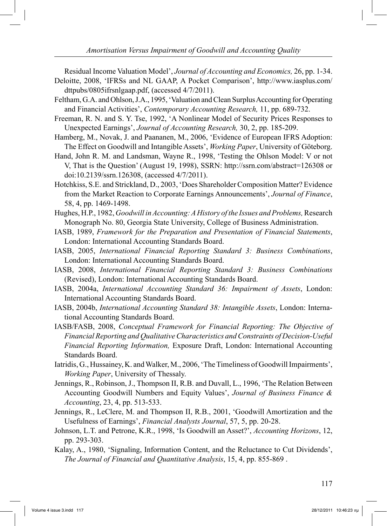Residual Income Valuation Model', *Journal of Accounting and Economics,* 26, pp. 1-34. Deloitte, 2008, 'IFRSs and NL GAAP, A Pocket Comparison', http://www.iasplus.com/

dttpubs/0805ifrsnlgaap.pdf, (accessed 4/7/2011).

- Feltham, G.A. and Ohlson, J.A., 1995, 'Valuation and Clean Surplus Accounting for Operating and Financial Activities', *Contemporary Accounting Research,* 11, pp. 689-732.
- Freeman, R. N. and S. Y. Tse, 1992, 'A Nonlinear Model of Security Prices Responses to Unexpected Earnings', *Journal of Accounting Research,* 30, 2, pp. 185-209.
- Hamberg, M., Novak, J. and Paananen, M., 2006, 'Evidence of European IFRS Adoption: The Effect on Goodwill and Intangible Assets', *Working Paper*, University of Göteborg.
- Hand, John R. M. and Landsman, Wayne R., 1998, 'Testing the Ohlson Model: V or not V, That is the Question' (August 19, 1998), SSRN: http://ssrn.com/abstract=126308 or doi:10.2139/ssrn.126308, (accessed 4/7/2011).
- Hotchkiss, S.E. and Strickland, D., 2003, 'Does Shareholder Composition Matter? Evidence from the Market Reaction to Corporate Earnings Announcements', *Journal of Finance*, 58, 4, pp. 1469-1498.
- Hughes, H.P., 1982, *Goodwill in Accounting: A History of the Issues and Problems,* Research Monograph No. 80, Georgia State University, College of Business Administration.
- IASB, 1989, *Framework for the Preparation and Presentation of Financial Statements*, London: International Accounting Standards Board.
- IASB, 2005, *International Financial Reporting Standard 3: Business Combinations*, London: International Accounting Standards Board.
- IASB, 2008, *International Financial Reporting Standard 3: Business Combinations* (Revised), London: International Accounting Standards Board.
- IASB, 2004a, *International Accounting Standard 36: Impairment of Assets*, London: International Accounting Standards Board.
- IASB, 2004b, *International Accounting Standard 38: Intangible Assets*, London: International Accounting Standards Board.
- IASB/FASB, 2008, *Conceptual Framework for Financial Reporting: The Objective of Financial Reporting and Qualitative Characteristics and Constraints of Decision-Useful Financial Reporting Information,* Exposure Draft, London: International Accounting Standards Board.
- Iatridis, G., Hussainey, K. and Walker, M., 2006, 'The Timeliness of Goodwill Impairments', *Working Paper*, University of Thessaly.
- Jennings, R., Robinson, J., Thompson II, R.B. and Duvall, L., 1996, 'The Relation Between Accounting Goodwill Numbers and Equity Values', *Journal of Business Finance & Accounting*, 23, 4, pp. 513-533.
- Jennings, R., LeClere, M. and Thompson II, R.B., 2001, 'Goodwill Amortization and the Usefulness of Earnings', *Financial Analysts Journal*, 57, 5, pp. 20-28.
- Johnson, L.T. and Petrone, K.R., 1998, 'Is Goodwill an Asset?', *Accounting Horizons*, 12, pp. 293-303.
- Kalay, A., 1980, 'Signaling, Information Content, and the Reluctance to Cut Dividends', *The Journal of Financial and Quantitative Analysis*, 15, 4, pp. 855-869 .